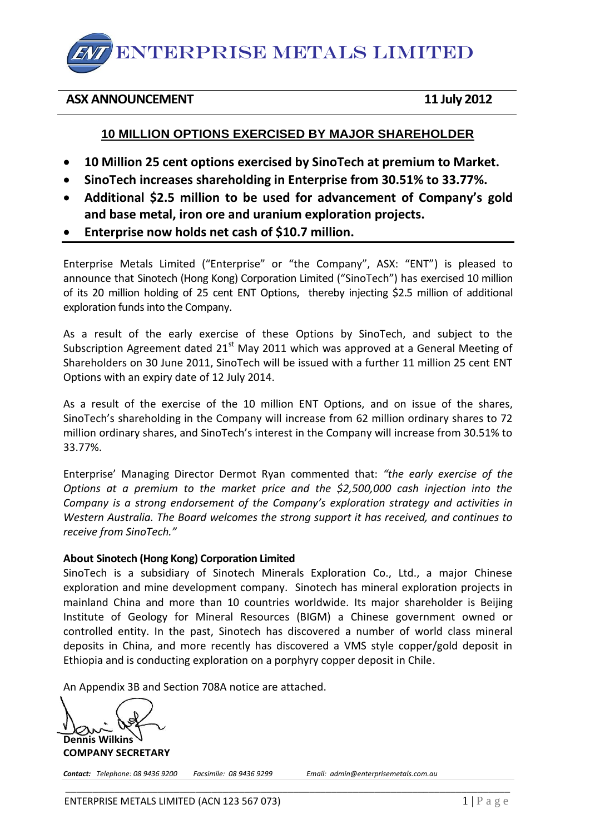ENTERPRISE METALS LIMITED

### **ASX ANNOUNCEMENT 11 July 2012**

## **10 MILLION OPTIONS EXERCISED BY MAJOR SHAREHOLDER**

- **10 Million 25 cent options exercised by SinoTech at premium to Market.**
- **SinoTech increases shareholding in Enterprise from 30.51% to 33.77%.**
- **Additional \$2.5 million to be used for advancement of Company's gold and base metal, iron ore and uranium exploration projects.**
- **Enterprise now holds net cash of \$10.7 million.**

Enterprise Metals Limited ("Enterprise" or "the Company", ASX: "ENT") is pleased to announce that Sinotech (Hong Kong) Corporation Limited ("SinoTech") has exercised 10 million of its 20 million holding of 25 cent ENT Options, thereby injecting \$2.5 million of additional exploration funds into the Company.

As a result of the early exercise of these Options by SinoTech, and subject to the Subscription Agreement dated  $21<sup>st</sup>$  May 2011 which was approved at a General Meeting of Shareholders on 30 June 2011, SinoTech will be issued with a further 11 million 25 cent ENT Options with an expiry date of 12 July 2014.

As a result of the exercise of the 10 million ENT Options, and on issue of the shares, SinoTech's shareholding in the Company will increase from 62 million ordinary shares to 72 million ordinary shares, and SinoTech's interest in the Company will increase from 30.51% to 33.77%.

Enterprise' Managing Director Dermot Ryan commented that: *"the early exercise of the Options at a premium to the market price and the \$2,500,000 cash injection into the Company is a strong endorsement of the Company's exploration strategy and activities in Western Australia. The Board welcomes the strong support it has received, and continues to receive from SinoTech."*

### **About Sinotech (Hong Kong) Corporation Limited**

SinoTech is a subsidiary of Sinotech Minerals Exploration Co., Ltd., a major Chinese exploration and mine development company. Sinotech has mineral exploration projects in mainland China and more than 10 countries worldwide. Its major shareholder is Beijing Institute of Geology for Mineral Resources (BIGM) a Chinese government owned or controlled entity. In the past, Sinotech has discovered a number of world class mineral deposits in China, and more recently has discovered a VMS style copper/gold deposit in Ethiopia and is conducting exploration on a porphyry copper deposit in Chile.

\_\_\_\_\_\_\_\_\_\_\_\_\_\_\_\_\_\_\_\_\_\_\_\_\_\_\_\_\_\_\_\_\_\_\_\_\_\_\_\_\_\_\_\_\_\_\_\_\_\_\_\_\_\_\_\_\_\_\_\_\_\_\_\_\_\_\_\_\_\_\_\_\_\_\_\_\_\_\_\_\_\_

An Appendix 3B and Section 708A notice are attached.

**Dennis Wilkins**

**COMPANY SECRETARY**

*Contact: Telephone: 08 9436 9200 Facsimile: 08 9436 9299 Email: admin@enterprisemetals.com.au*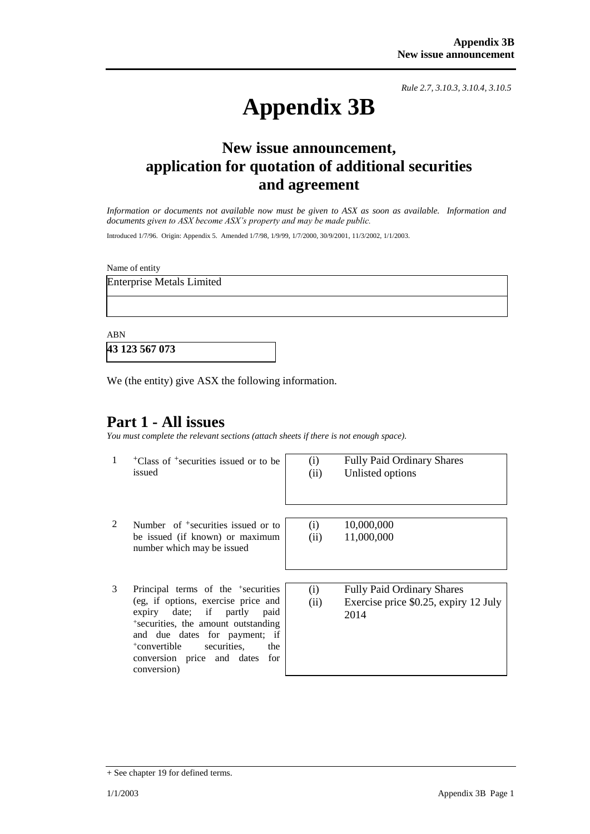*Rule 2.7, 3.10.3, 3.10.4, 3.10.5*

# **Appendix 3B**

# **New issue announcement, application for quotation of additional securities and agreement**

*Information or documents not available now must be given to ASX as soon as available. Information and documents given to ASX become ASX's property and may be made public.*

Introduced 1/7/96. Origin: Appendix 5. Amended 1/7/98, 1/9/99, 1/7/2000, 30/9/2001, 11/3/2002, 1/1/2003.

Name of entity

Enterprise Metals Limited

ABN

**43 123 567 073**

We (the entity) give ASX the following information.

# **Part 1 - All issues**

*You must complete the relevant sections (attach sheets if there is not enough space).*

1 +Class of +securities issued or to be issued

(i) Fully Paid Ordinary Shares (ii) Unlisted options

- 2 Number of <sup>+</sup>securities issued or to be issued (if known) or maximum number which may be issued
- 3 Principal terms of the <sup>+</sup> securities (eg, if options, exercise price and expiry date; if partly paid + securities, the amount outstanding and due dates for payment; if <sup>+</sup>convertible securities, the conversion price and dates for conversion)

(i) 10,000,000 (ii) 11,000,000

(i) Fully Paid Ordinary Shares (ii) Exercise price \$0.25, expiry 12 July 2014

<sup>+</sup> See chapter 19 for defined terms.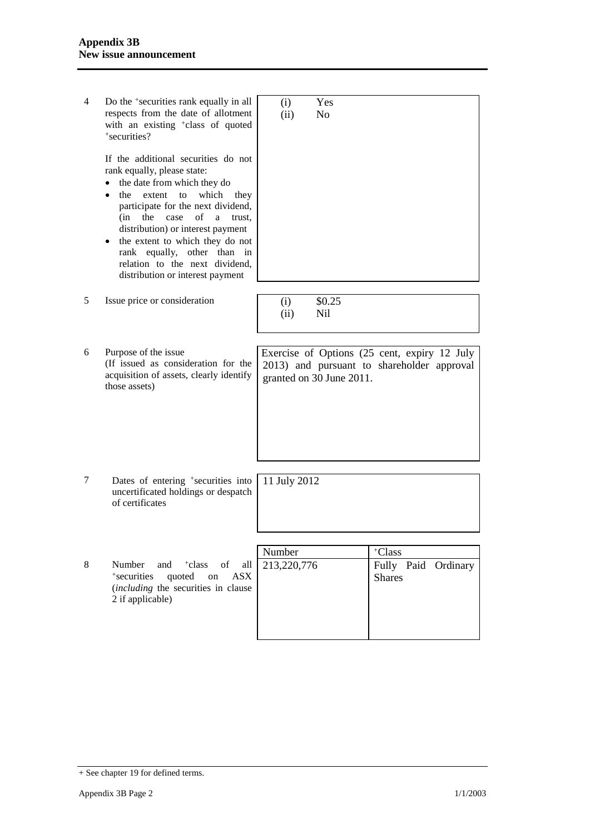| 4 | Do the <sup>+</sup> securities rank equally in all<br>respects from the date of allotment<br>with an existing <sup>+</sup> class of quoted<br>+securities?                                                                                                                                                                                                                                                                                                                                              | (i)<br>(ii)  | Yes<br>N <sub>o</sub>    |                                                                                            |  |
|---|---------------------------------------------------------------------------------------------------------------------------------------------------------------------------------------------------------------------------------------------------------------------------------------------------------------------------------------------------------------------------------------------------------------------------------------------------------------------------------------------------------|--------------|--------------------------|--------------------------------------------------------------------------------------------|--|
|   | If the additional securities do not<br>rank equally, please state:<br>the date from which they do<br>which<br>the<br>extent<br>to<br>they<br>participate for the next dividend,<br>$% \left( \left( \mathcal{A},\mathcal{A}\right) \right) =\left( \mathcal{A},\mathcal{A}\right)$ of<br>case<br>(in<br>the<br>a<br>trust.<br>distribution) or interest payment<br>the extent to which they do not<br>rank equally, other than in<br>relation to the next dividend,<br>distribution or interest payment |              |                          |                                                                                            |  |
| 5 | Issue price or consideration                                                                                                                                                                                                                                                                                                                                                                                                                                                                            | (i)<br>(ii)  | \$0.25<br>Nil            |                                                                                            |  |
|   |                                                                                                                                                                                                                                                                                                                                                                                                                                                                                                         |              |                          |                                                                                            |  |
| 6 | Purpose of the issue<br>(If issued as consideration for the<br>acquisition of assets, clearly identify<br>those assets)                                                                                                                                                                                                                                                                                                                                                                                 |              | granted on 30 June 2011. | Exercise of Options (25 cent, expiry 12 July<br>2013) and pursuant to shareholder approval |  |
|   |                                                                                                                                                                                                                                                                                                                                                                                                                                                                                                         |              |                          |                                                                                            |  |
| 7 | Dates of entering <sup>+</sup> securities into<br>uncertificated holdings or despatch<br>of certificates                                                                                                                                                                                                                                                                                                                                                                                                | 11 July 2012 |                          |                                                                                            |  |
|   |                                                                                                                                                                                                                                                                                                                                                                                                                                                                                                         |              |                          |                                                                                            |  |
|   |                                                                                                                                                                                                                                                                                                                                                                                                                                                                                                         | Number       |                          | +Class                                                                                     |  |
| 8 | Number<br>and<br><sup>+</sup> class<br>of<br>all<br><sup>+</sup> securities<br>quoted<br>on<br><b>ASX</b><br>(including the securities in clause<br>2 if applicable)                                                                                                                                                                                                                                                                                                                                    | 213,220,776  |                          | Fully Paid Ordinary<br><b>Shares</b>                                                       |  |
|   |                                                                                                                                                                                                                                                                                                                                                                                                                                                                                                         |              |                          |                                                                                            |  |

<sup>+</sup> See chapter 19 for defined terms.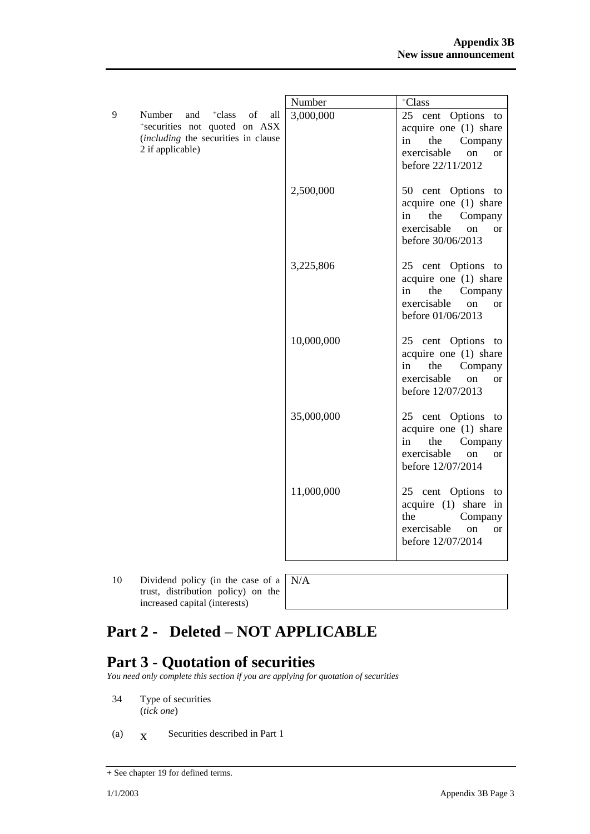|   |                                                                                                                                              | Number     | +Class                                                                                                                                |
|---|----------------------------------------------------------------------------------------------------------------------------------------------|------------|---------------------------------------------------------------------------------------------------------------------------------------|
| 9 | Number<br>and<br><sup>+</sup> class<br>of<br>all<br>*securities not quoted on ASX<br>(including the securities in clause<br>2 if applicable) | 3,000,000  | 25 cent Options to<br>acquire one (1) share<br>the<br>Company<br>in<br>exercisable<br>on<br><b>or</b><br>before 22/11/2012            |
|   |                                                                                                                                              | 2,500,000  | 50 cent Options to<br>acquire one (1) share<br>in<br>the<br>Company<br>exercisable<br>on<br><b>or</b><br>before 30/06/2013            |
|   |                                                                                                                                              | 3,225,806  | 25 cent Options to<br>acquire one (1) share<br>in<br>the<br>Company<br>exercisable<br><sub>on</sub><br><b>or</b><br>before 01/06/2013 |
|   |                                                                                                                                              | 10,000,000 | 25 cent Options to<br>acquire one (1) share<br>in<br>the<br>Company<br>exercisable<br><sub>on</sub><br><b>or</b><br>before 12/07/2013 |
|   |                                                                                                                                              | 35,000,000 | 25 cent Options<br>to<br>acquire one (1) share<br>the<br>Company<br>in<br>exercisable<br>on<br><sub>or</sub><br>before 12/07/2014     |
|   |                                                                                                                                              | 11,000,000 | 25 cent Options<br>to<br>acquire (1) share in<br>Company<br>the<br>exercisable<br>on<br><b>or</b><br>before 12/07/2014                |

10 Dividend policy (in the case of a | N/A trust, distribution policy) on the increased capital (interests)

# **Part 2 - Deleted – NOT APPLICABLE**

# **Part 3 - Quotation of securities**

*You need only complete this section if you are applying for quotation of securities*

- 34 Type of securities (*tick one*)
- (a)  $\bar{X}$ Securities described in Part 1

<sup>+</sup> See chapter 19 for defined terms.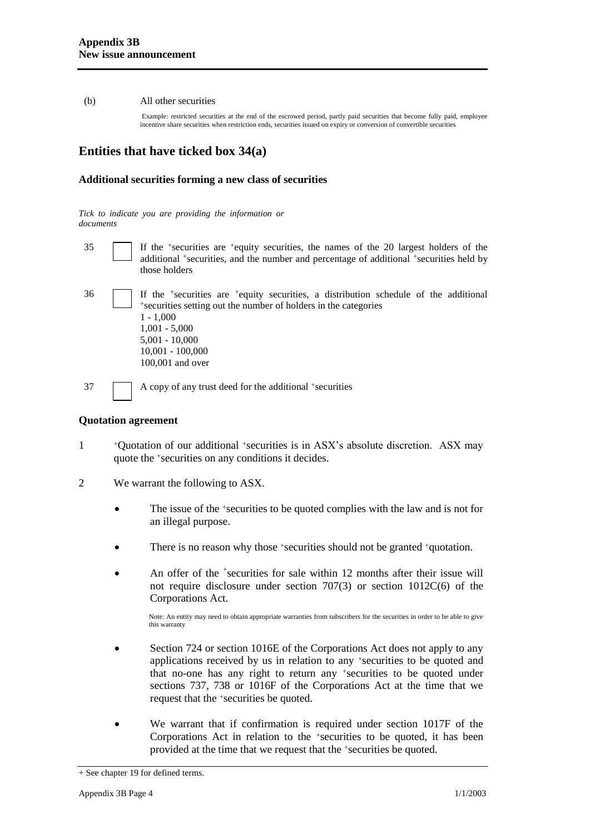#### (b) All other securities

Example: restricted securities at the end of the escrowed period, partly paid securities that become fully paid, employee incentive share securities when restriction ends, securities issued on expiry or conversion of convertible securities

## **Entities that have ticked box 34(a)**

#### **Additional securities forming a new class of securities**

*Tick to indicate you are providing the information or documents*

- 35 If the <sup>+</sup> securities are <sup>+</sup>equity securities, the names of the 20 largest holders of the additional <sup>+</sup>securities, and the number and percentage of additional <sup>+</sup>securities held by those holders
- 36 If the <sup>+</sup> securities are <sup>+</sup>equity securities, a distribution schedule of the additional + securities setting out the number of holders in the categories 1 - 1,000 1,001 - 5,000 5,001 - 10,000 10,001 - 100,000 100,001 and over

37 A copy of any trust deed for the additional +securities

#### **Quotation agreement**

- 1 <sup>+</sup>Quotation of our additional +securities is in ASX's absolute discretion. ASX may quote the +securities on any conditions it decides.
- 2 We warrant the following to ASX.
	- The issue of the +securities to be quoted complies with the law and is not for an illegal purpose.
	- There is no reason why those +securities should not be granted +quotation.
	- An offer of the <sup>+</sup>securities for sale within 12 months after their issue will not require disclosure under section 707(3) or section 1012C(6) of the Corporations Act.

Note: An entity may need to obtain appropriate warranties from subscribers for the securities in order to be able to give this warranty

- Section 724 or section 1016E of the Corporations Act does not apply to any applications received by us in relation to any +securities to be quoted and that no-one has any right to return any +securities to be quoted under sections 737, 738 or 1016F of the Corporations Act at the time that we request that the +securities be quoted.
- We warrant that if confirmation is required under section 1017F of the Corporations Act in relation to the +securities to be quoted, it has been provided at the time that we request that the +securities be quoted.

<sup>+</sup> See chapter 19 for defined terms.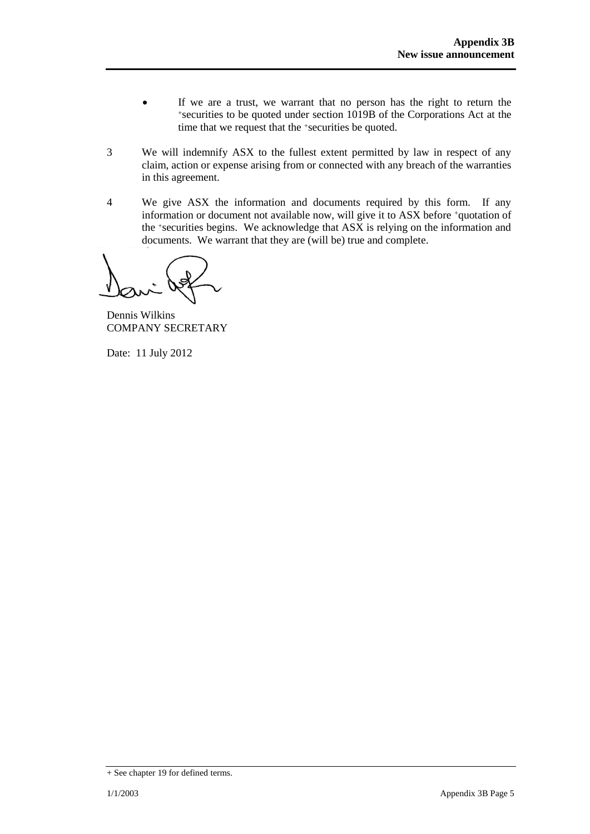- If we are a trust, we warrant that no person has the right to return the <sup>+</sup>securities to be quoted under section 1019B of the Corporations Act at the time that we request that the +securities be quoted.
- 3 We will indemnify ASX to the fullest extent permitted by law in respect of any claim, action or expense arising from or connected with any breach of the warranties in this agreement.
- 4 We give ASX the information and documents required by this form. If any information or document not available now, will give it to ASX before +quotation of the +securities begins. We acknowledge that ASX is relying on the information and documents. We warrant that they are (will be) true and complete.

Dennis Wilkins COMPANY SECRETARY

Date: 11 July 2012

<sup>+</sup> See chapter 19 for defined terms.